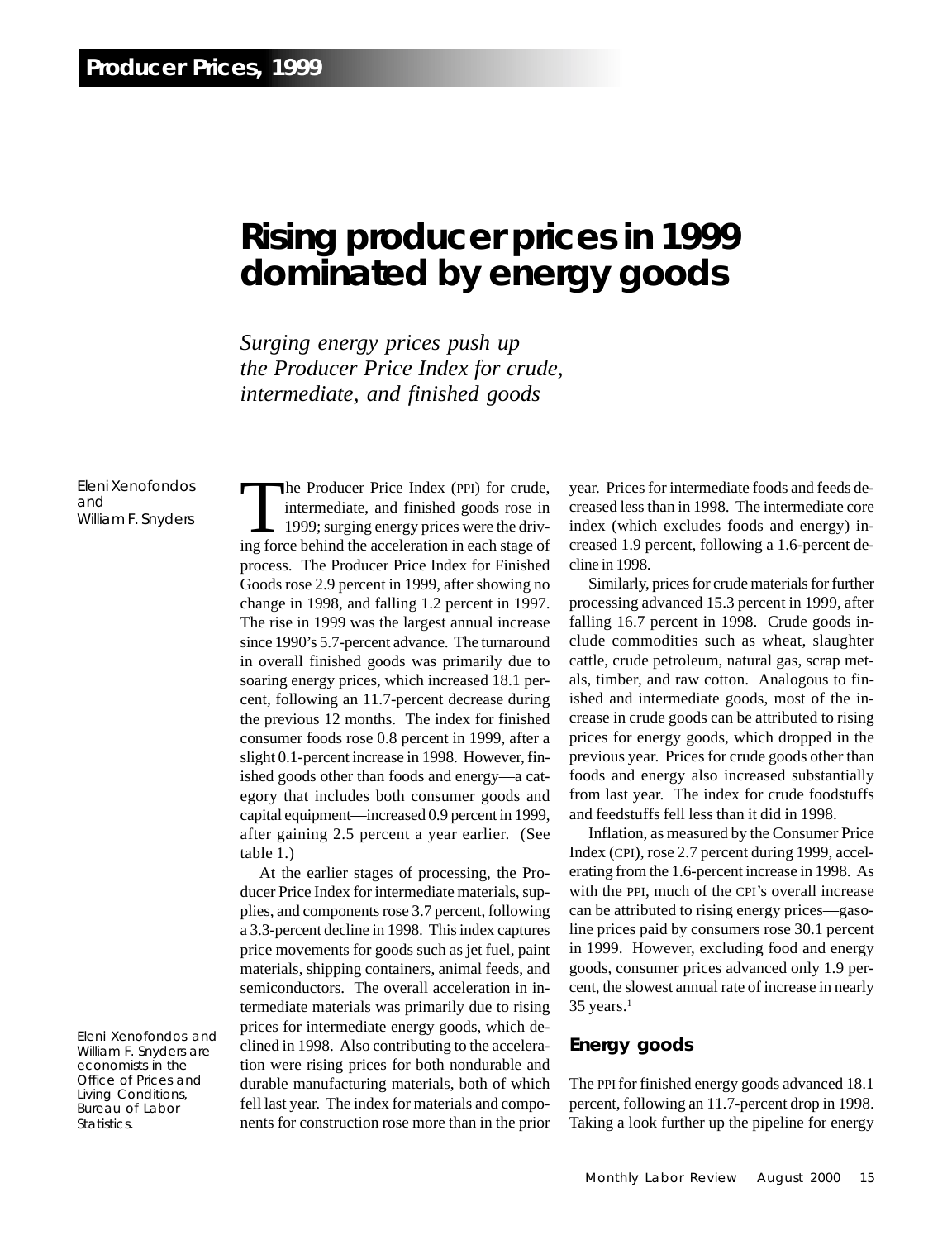# **Rising producer prices in 1999 dominated by energy goods**

*Surging energy prices push up the Producer Price Index for crude, intermediate, and finished goods*

Eleni Xenofondos and William F. Snyders

Eleni Xenofondos and William F. Snyders are economists in the Office of Prices and Living Conditions, Bureau of Labor Statistics.

The Producer Price Index (PPI) for crude,<br>intermediate, and finished goods rose in<br>1999; surging energy prices were the driv-<br>ing force behind the acceleration in each stage of intermediate, and finished goods rose in 1999; surging energy prices were the driving force behind the acceleration in each stage of process. The Producer Price Index for Finished Goods rose 2.9 percent in 1999, after showing no change in 1998, and falling 1.2 percent in 1997. The rise in 1999 was the largest annual increase since 1990's 5.7-percent advance. The turnaround in overall finished goods was primarily due to soaring energy prices, which increased 18.1 percent, following an 11.7-percent decrease during the previous 12 months. The index for finished consumer foods rose 0.8 percent in 1999, after a slight 0.1-percent increase in 1998. However, finished goods other than foods and energy—a category that includes both consumer goods and capital equipment—increased 0.9 percent in 1999, after gaining 2.5 percent a year earlier. (See table 1.)

At the earlier stages of processing, the Producer Price Index for intermediate materials, supplies, and components rose 3.7 percent, following a 3.3-percent decline in 1998. This index captures price movements for goods such as jet fuel, paint materials, shipping containers, animal feeds, and semiconductors. The overall acceleration in intermediate materials was primarily due to rising prices for intermediate energy goods, which declined in 1998. Also contributing to the acceleration were rising prices for both nondurable and durable manufacturing materials, both of which fell last year. The index for materials and components for construction rose more than in the prior year. Prices for intermediate foods and feeds decreased less than in 1998. The intermediate core index (which excludes foods and energy) increased 1.9 percent, following a 1.6-percent decline in 1998.

Similarly, prices for crude materials for further processing advanced 15.3 percent in 1999, after falling 16.7 percent in 1998. Crude goods include commodities such as wheat, slaughter cattle, crude petroleum, natural gas, scrap metals, timber, and raw cotton. Analogous to finished and intermediate goods, most of the increase in crude goods can be attributed to rising prices for energy goods, which dropped in the previous year. Prices for crude goods other than foods and energy also increased substantially from last year. The index for crude foodstuffs and feedstuffs fell less than it did in 1998.

Inflation, as measured by the Consumer Price Index (CPI), rose 2.7 percent during 1999, accelerating from the 1.6-percent increase in 1998. As with the PPI, much of the CPI's overall increase can be attributed to rising energy prices—gasoline prices paid by consumers rose 30.1 percent in 1999. However, excluding food and energy goods, consumer prices advanced only 1.9 percent, the slowest annual rate of increase in nearly  $35$  years.<sup>1</sup>

#### **Energy goods**

The PPI for finished energy goods advanced 18.1 percent, following an 11.7-percent drop in 1998. Taking a look further up the pipeline for energy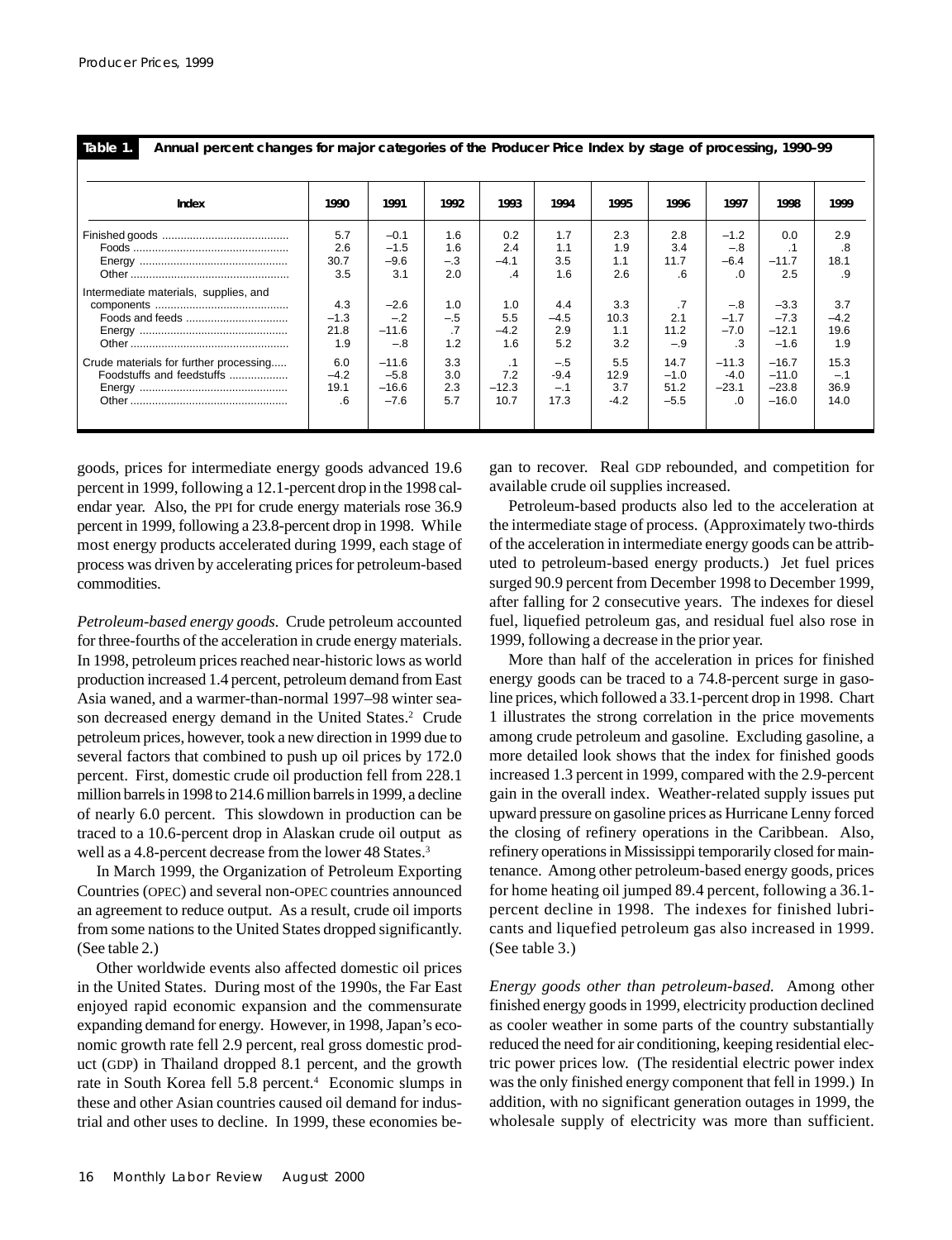| таые |  |  |
|------|--|--|
|      |  |  |

**Annual percent changes for major categories of the Producer Price Index by stage of processing, 1990–99**

| Index                                  | 1990        | 1991             | 1992         | 1993          | 1994       | 1995       | 1996        | 1997            | 1998                 | 1999       |
|----------------------------------------|-------------|------------------|--------------|---------------|------------|------------|-------------|-----------------|----------------------|------------|
|                                        | 5.7         | $-0.1$           | 1.6          | 0.2           | 1.7        | 2.3        | 2.8         | $-1.2$          | 0.0                  | 2.9        |
|                                        | 2.6<br>30.7 | $-1.5$<br>$-9.6$ | 1.6<br>$-.3$ | 2.4<br>$-4.1$ | 1.1<br>3.5 | 1.9<br>1.1 | 3.4<br>11.7 | $-.8$<br>$-6.4$ | $\cdot$ 1<br>$-11.7$ | .8<br>18.1 |
|                                        | 3.5         | 3.1              | 2.0          | .4            | 1.6        | 2.6        | .6          | .0              | 2.5                  | .9         |
| Intermediate materials, supplies, and  |             |                  |              |               |            |            |             |                 |                      |            |
|                                        | 4.3         | $-2.6$           | 1.0          | 1.0           | 4.4        | 3.3        | .7          | $-.8$           | $-3.3$               | 3.7        |
|                                        | $-1.3$      | $-.2$            | $-.5$        | 5.5           | $-4.5$     | 10.3       | 2.1         | $-1.7$          | $-7.3$               | $-4.2$     |
|                                        | 21.8        | $-11.6$          | .7           | $-4.2$        | 2.9        | 1.1        | 11.2        | $-7.0$          | $-12.1$              | 19.6       |
|                                        | 1.9         | $-.8$            | 1.2          | 1.6           | 5.2        | 3.2        | $-.9$       | .3              | $-1.6$               | 1.9        |
| Crude materials for further processing | 6.0         | $-11.6$          | 3.3          | $\cdot$ 1     | $-.5$      | 5.5        | 14.7        | $-11.3$         | $-16.7$              | 15.3       |
| Foodstuffs and feedstuffs              | $-4.2$      | $-5.8$           | 3.0          | 7.2           | $-9.4$     | 12.9       | $-1.0$      | $-4.0$          | $-11.0$              | $-.1$      |
|                                        | 19.1        | $-16.6$          | 2.3          | $-12.3$       | $-.1$      | 3.7        | 51.2        | $-23.1$         | $-23.8$              | 36.9       |
|                                        | .6          | $-7.6$           | 5.7          | 10.7          | 17.3       | $-4.2$     | $-5.5$      | .0              | $-16.0$              | 14.0       |
|                                        |             |                  |              |               |            |            |             |                 |                      |            |

goods, prices for intermediate energy goods advanced 19.6 percent in 1999, following a 12.1-percent drop in the 1998 calendar year. Also, the PPI for crude energy materials rose 36.9 percent in 1999, following a 23.8-percent drop in 1998. While most energy products accelerated during 1999, each stage of process was driven by accelerating prices for petroleum-based commodities.

*Petroleum-based energy goods.* Crude petroleum accounted for three-fourths of the acceleration in crude energy materials. In 1998, petroleum prices reached near-historic lows as world production increased 1.4 percent, petroleum demand from East Asia waned, and a warmer-than-normal 1997–98 winter season decreased energy demand in the United States.<sup>2</sup> Crude petroleum prices, however, took a new direction in 1999 due to several factors that combined to push up oil prices by 172.0 percent. First, domestic crude oil production fell from 228.1 million barrels in 1998 to 214.6 million barrels in 1999, a decline of nearly 6.0 percent. This slowdown in production can be traced to a 10.6-percent drop in Alaskan crude oil output as well as a 4.8-percent decrease from the lower 48 States.<sup>3</sup>

In March 1999, the Organization of Petroleum Exporting Countries (OPEC) and several non-OPEC countries announced an agreement to reduce output. As a result, crude oil imports from some nations to the United States dropped significantly. (See table 2.)

Other worldwide events also affected domestic oil prices in the United States. During most of the 1990s, the Far East enjoyed rapid economic expansion and the commensurate expanding demand for energy. However, in 1998, Japan's economic growth rate fell 2.9 percent, real gross domestic product (GDP) in Thailand dropped 8.1 percent, and the growth rate in South Korea fell 5.8 percent.<sup>4</sup> Economic slumps in these and other Asian countries caused oil demand for industrial and other uses to decline. In 1999, these economies began to recover. Real GDP rebounded, and competition for available crude oil supplies increased.

Petroleum-based products also led to the acceleration at the intermediate stage of process. (Approximately two-thirds of the acceleration in intermediate energy goods can be attributed to petroleum-based energy products.) Jet fuel prices surged 90.9 percent from December 1998 to December 1999, after falling for 2 consecutive years. The indexes for diesel fuel, liquefied petroleum gas, and residual fuel also rose in 1999, following a decrease in the prior year.

More than half of the acceleration in prices for finished energy goods can be traced to a 74.8-percent surge in gasoline prices, which followed a 33.1-percent drop in 1998. Chart 1 illustrates the strong correlation in the price movements among crude petroleum and gasoline. Excluding gasoline, a more detailed look shows that the index for finished goods increased 1.3 percent in 1999, compared with the 2.9-percent gain in the overall index. Weather-related supply issues put upward pressure on gasoline prices as Hurricane Lenny forced the closing of refinery operations in the Caribbean. Also, refinery operations in Mississippi temporarily closed for maintenance. Among other petroleum-based energy goods, prices for home heating oil jumped 89.4 percent, following a 36.1 percent decline in 1998. The indexes for finished lubricants and liquefied petroleum gas also increased in 1999. (See table 3.)

*Energy goods other than petroleum-based.* Among other finished energy goods in 1999, electricity production declined as cooler weather in some parts of the country substantially reduced the need for air conditioning, keeping residential electric power prices low. (The residential electric power index was the only finished energy component that fell in 1999.) In addition, with no significant generation outages in 1999, the wholesale supply of electricity was more than sufficient.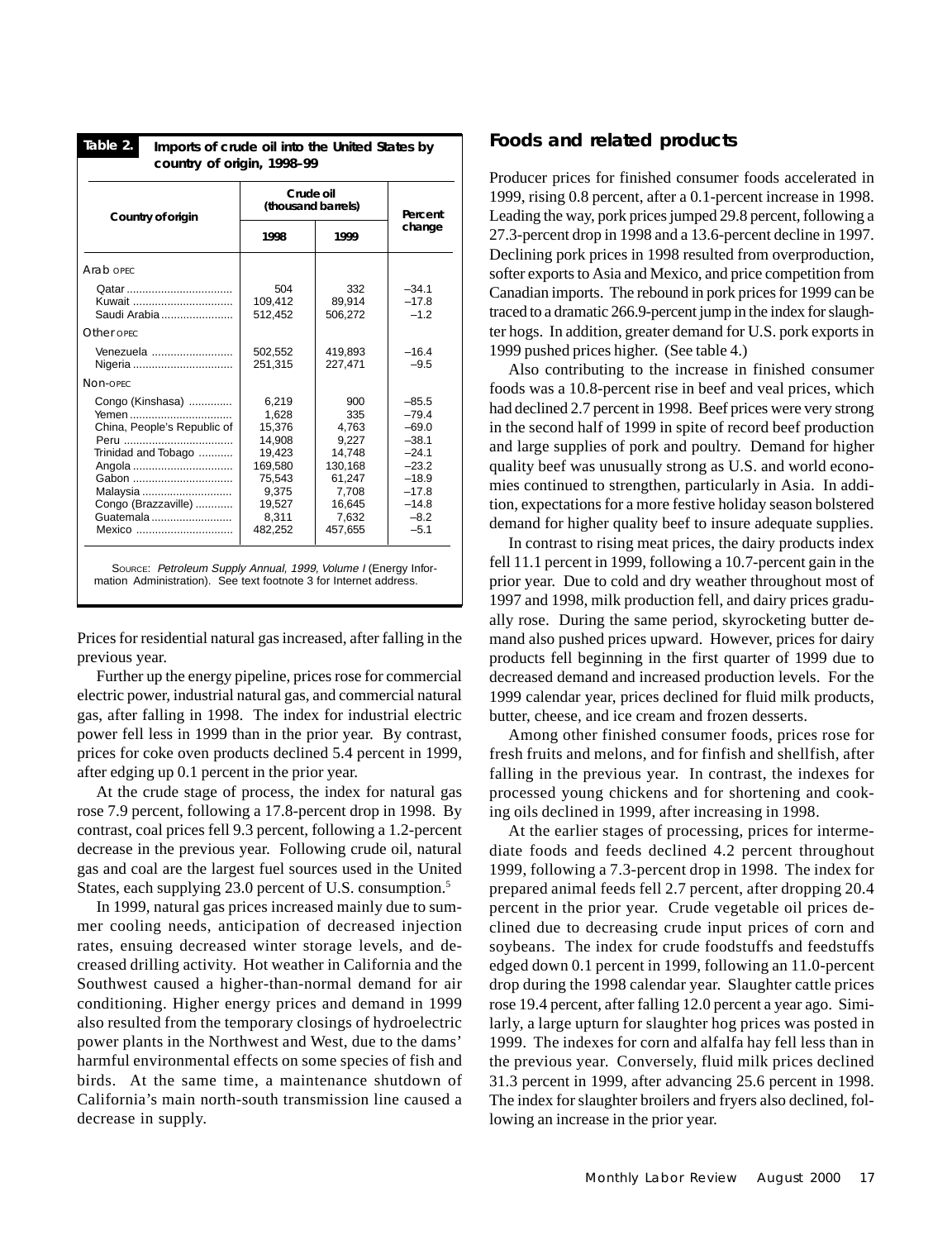| Table 2.<br>Imports of crude oil into the United States by                                                                                                   |                                                                                                          |                                                                                                    |                                                                                                                     |  |  |  |  |  |  |  |  |
|--------------------------------------------------------------------------------------------------------------------------------------------------------------|----------------------------------------------------------------------------------------------------------|----------------------------------------------------------------------------------------------------|---------------------------------------------------------------------------------------------------------------------|--|--|--|--|--|--|--|--|
| country of origin, 1998-99                                                                                                                                   |                                                                                                          |                                                                                                    |                                                                                                                     |  |  |  |  |  |  |  |  |
| Country of origin                                                                                                                                            | Crude oil<br>(thousand barrels)                                                                          | Percent                                                                                            |                                                                                                                     |  |  |  |  |  |  |  |  |
|                                                                                                                                                              | 1998                                                                                                     | 1999                                                                                               | change                                                                                                              |  |  |  |  |  |  |  |  |
| Arab oprc                                                                                                                                                    |                                                                                                          |                                                                                                    |                                                                                                                     |  |  |  |  |  |  |  |  |
| Kuwait<br>Saudi Arabia                                                                                                                                       | 504<br>109,412<br>512,452                                                                                | 332<br>89,914<br>506,272                                                                           | $-34.1$<br>$-17.8$<br>$-1.2$                                                                                        |  |  |  |  |  |  |  |  |
| Other opec                                                                                                                                                   |                                                                                                          |                                                                                                    |                                                                                                                     |  |  |  |  |  |  |  |  |
| Venezuela<br>Nigeria                                                                                                                                         | 502,552<br>251.315                                                                                       | 419,893<br>227.471                                                                                 | $-16.4$<br>$-9.5$                                                                                                   |  |  |  |  |  |  |  |  |
| Non-opec                                                                                                                                                     |                                                                                                          |                                                                                                    |                                                                                                                     |  |  |  |  |  |  |  |  |
| Congo (Kinshasa)<br>Yemen<br>China, People's Republic of<br>Trinidad and Tobago<br>Angola<br>Gabon<br>Malaysia<br>Congo (Brazzaville)<br>Guatemala<br>Mexico | 6,219<br>1,628<br>15,376<br>14,908<br>19,423<br>169,580<br>75.543<br>9,375<br>19.527<br>8,311<br>482,252 | 900<br>335<br>4,763<br>9,227<br>14,748<br>130,168<br>61.247<br>7,708<br>16.645<br>7,632<br>457,655 | $-85.5$<br>$-79.4$<br>$-69.0$<br>$-38.1$<br>$-24.1$<br>$-23.2$<br>$-18.9$<br>$-17.8$<br>$-14.8$<br>$-8.2$<br>$-5.1$ |  |  |  |  |  |  |  |  |

SOURCE: Petroleum Supply Annual, 1999, Volume I (Energy Information Administration). See text footnote 3 for Internet address.

Prices for residential natural gas increased, after falling in the previous year.

Further up the energy pipeline, prices rose for commercial electric power, industrial natural gas, and commercial natural gas, after falling in 1998. The index for industrial electric power fell less in 1999 than in the prior year. By contrast, prices for coke oven products declined 5.4 percent in 1999, after edging up 0.1 percent in the prior year.

At the crude stage of process, the index for natural gas rose 7.9 percent, following a 17.8-percent drop in 1998. By contrast, coal prices fell 9.3 percent, following a 1.2-percent decrease in the previous year. Following crude oil, natural gas and coal are the largest fuel sources used in the United States, each supplying 23.0 percent of U.S. consumption.<sup>5</sup>

In 1999, natural gas prices increased mainly due to summer cooling needs, anticipation of decreased injection rates, ensuing decreased winter storage levels, and decreased drilling activity. Hot weather in California and the Southwest caused a higher-than-normal demand for air conditioning. Higher energy prices and demand in 1999 also resulted from the temporary closings of hydroelectric power plants in the Northwest and West, due to the dams' harmful environmental effects on some species of fish and birds. At the same time, a maintenance shutdown of California's main north-south transmission line caused a decrease in supply.

### **Foods and related products**

Producer prices for finished consumer foods accelerated in 1999, rising 0.8 percent, after a 0.1-percent increase in 1998. Leading the way, pork prices jumped 29.8 percent, following a 27.3-percent drop in 1998 and a 13.6-percent decline in 1997. Declining pork prices in 1998 resulted from overproduction, softer exports to Asia and Mexico, and price competition from Canadian imports. The rebound in pork prices for 1999 can be traced to a dramatic 266.9-percent jump in the index for slaughter hogs. In addition, greater demand for U.S. pork exports in 1999 pushed prices higher. (See table 4.)

Also contributing to the increase in finished consumer foods was a 10.8-percent rise in beef and veal prices, which had declined 2.7 percent in 1998. Beef prices were very strong in the second half of 1999 in spite of record beef production and large supplies of pork and poultry. Demand for higher quality beef was unusually strong as U.S. and world economies continued to strengthen, particularly in Asia. In addition, expectations for a more festive holiday season bolstered demand for higher quality beef to insure adequate supplies.

In contrast to rising meat prices, the dairy products index fell 11.1 percent in 1999, following a 10.7-percent gain in the prior year. Due to cold and dry weather throughout most of 1997 and 1998, milk production fell, and dairy prices gradually rose. During the same period, skyrocketing butter demand also pushed prices upward. However, prices for dairy products fell beginning in the first quarter of 1999 due to decreased demand and increased production levels. For the 1999 calendar year, prices declined for fluid milk products, butter, cheese, and ice cream and frozen desserts.

Among other finished consumer foods, prices rose for fresh fruits and melons, and for finfish and shellfish, after falling in the previous year. In contrast, the indexes for processed young chickens and for shortening and cooking oils declined in 1999, after increasing in 1998.

At the earlier stages of processing, prices for intermediate foods and feeds declined 4.2 percent throughout 1999, following a 7.3-percent drop in 1998. The index for prepared animal feeds fell 2.7 percent, after dropping 20.4 percent in the prior year. Crude vegetable oil prices declined due to decreasing crude input prices of corn and soybeans. The index for crude foodstuffs and feedstuffs edged down 0.1 percent in 1999, following an 11.0-percent drop during the 1998 calendar year. Slaughter cattle prices rose 19.4 percent, after falling 12.0 percent a year ago. Similarly, a large upturn for slaughter hog prices was posted in 1999. The indexes for corn and alfalfa hay fell less than in the previous year. Conversely, fluid milk prices declined 31.3 percent in 1999, after advancing 25.6 percent in 1998. The index for slaughter broilers and fryers also declined, following an increase in the prior year.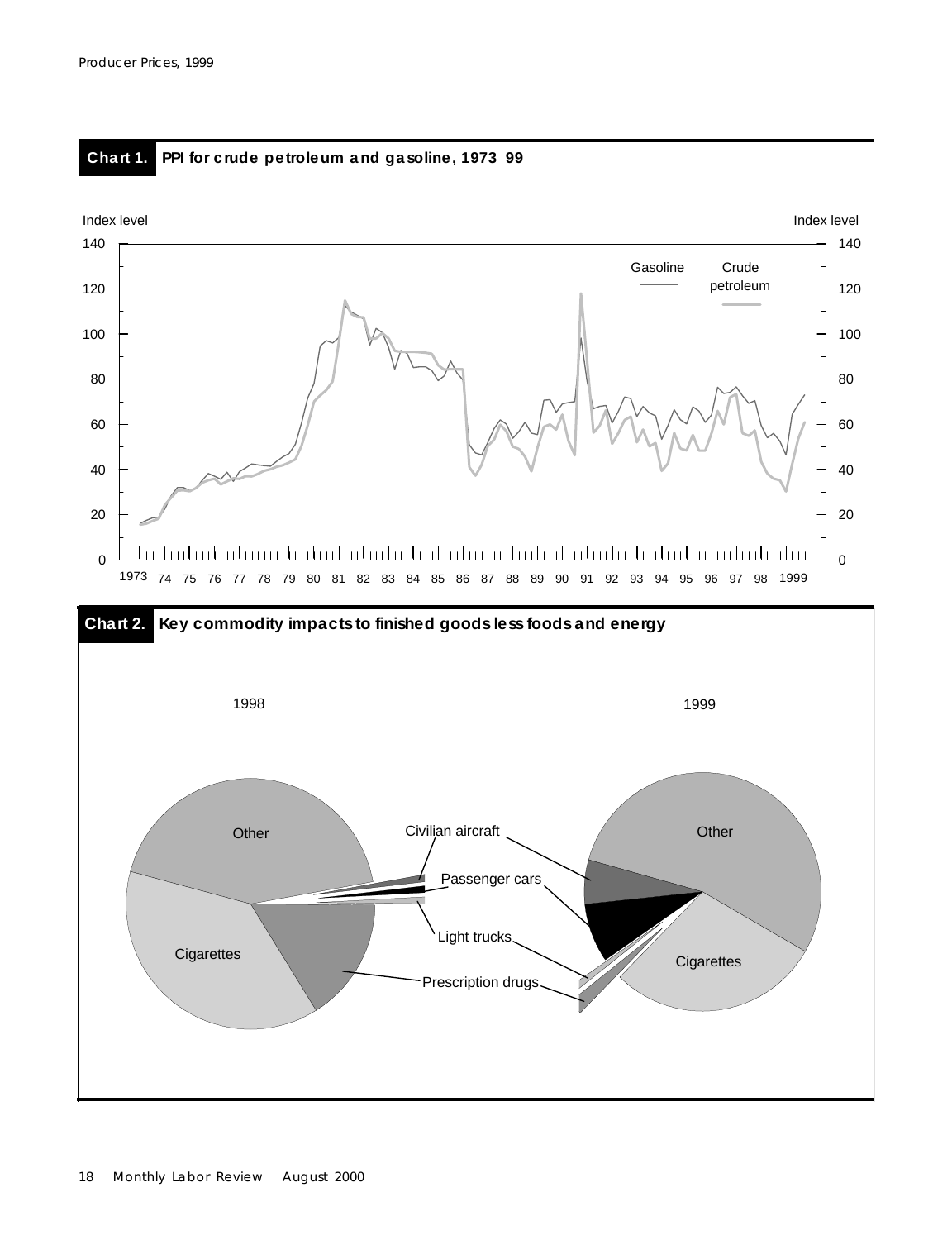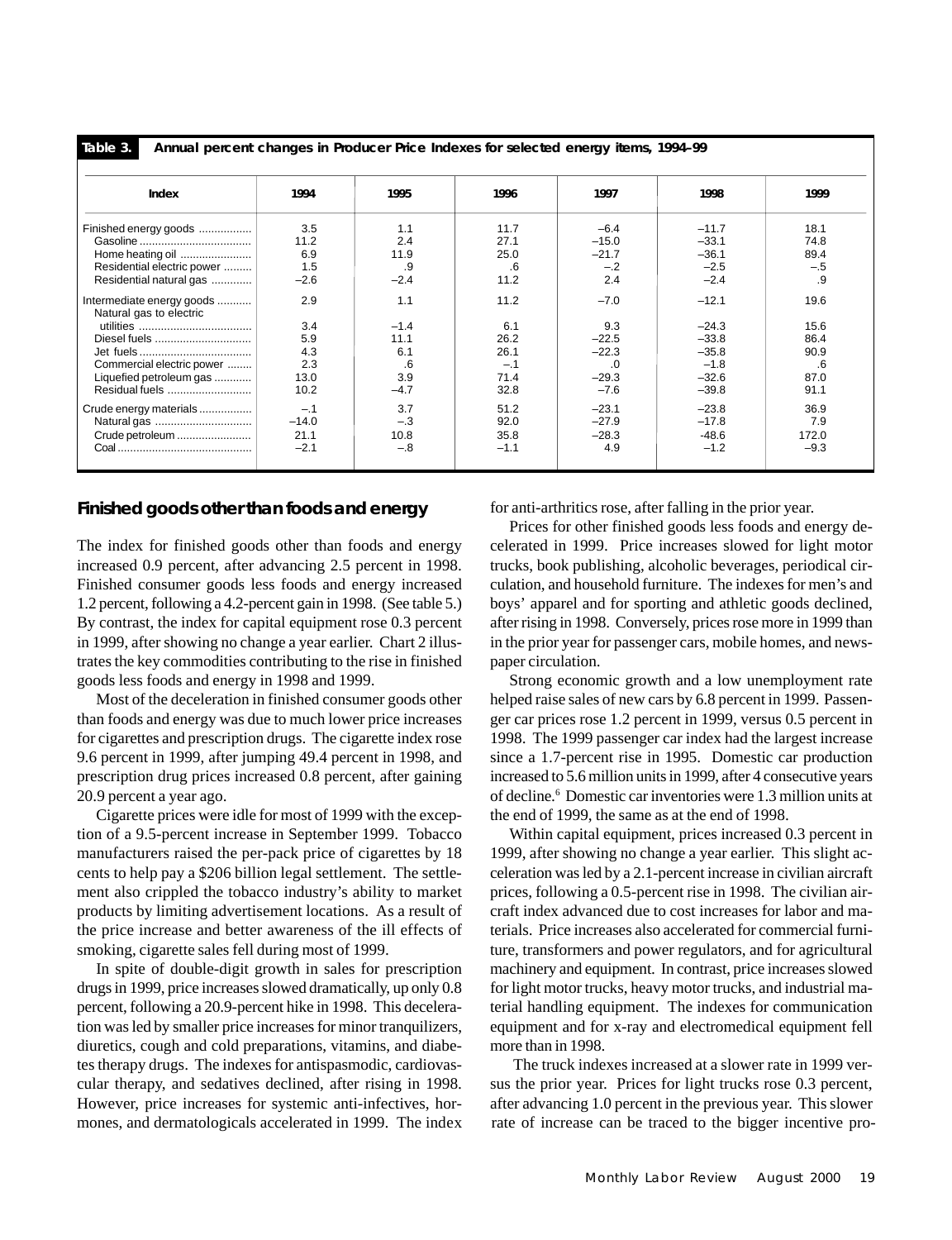**Table 3.**

**Annual percent changes in Producer Price Indexes for selected energy items, 1994–99**

| Index                                                                                                                          | 1994                                            | 1995                                                | 1996                                                 | 1997                                                           | 1998                                                                     | 1999                                               |
|--------------------------------------------------------------------------------------------------------------------------------|-------------------------------------------------|-----------------------------------------------------|------------------------------------------------------|----------------------------------------------------------------|--------------------------------------------------------------------------|----------------------------------------------------|
| Finished energy goods<br>Home heating oil<br>Residential electric power<br>Residential natural gas                             | 3.5<br>11.2<br>6.9<br>1.5<br>$-2.6$             | 1.1<br>2.4<br>11.9<br>.9<br>$-2.4$                  | 11.7<br>27.1<br>25.0<br>.6<br>11.2                   | $-6.4$<br>$-15.0$<br>$-21.7$<br>$-.2$<br>2.4                   | $-11.7$<br>$-33.1$<br>$-36.1$<br>$-2.5$<br>$-2.4$                        | 18.1<br>74.8<br>89.4<br>$-.5$<br>.9                |
| Intermediate energy goods<br>Natural gas to electric<br>Commercial electric power<br>Liquefied petroleum gas<br>Residual fuels | 2.9<br>3.4<br>5.9<br>4.3<br>2.3<br>13.0<br>10.2 | 1.1<br>$-1.4$<br>11.1<br>6.1<br>.6<br>3.9<br>$-4.7$ | 11.2<br>6.1<br>26.2<br>26.1<br>$-.1$<br>71.4<br>32.8 | $-7.0$<br>9.3<br>$-22.5$<br>$-22.3$<br>.0<br>$-29.3$<br>$-7.6$ | $-12.1$<br>$-24.3$<br>$-33.8$<br>$-35.8$<br>$-1.8$<br>$-32.6$<br>$-39.8$ | 19.6<br>15.6<br>86.4<br>90.9<br>.6<br>87.0<br>91.1 |
| Crude energy materials<br>Crude petroleum                                                                                      | $-.1$<br>$-14.0$<br>21.1<br>$-2.1$              | 3.7<br>$-.3$<br>10.8<br>$-.8$                       | 51.2<br>92.0<br>35.8<br>$-1.1$                       | $-23.1$<br>$-27.9$<br>$-28.3$<br>4.9                           | $-23.8$<br>$-17.8$<br>$-48.6$<br>$-1.2$                                  | 36.9<br>7.9<br>172.0<br>$-9.3$                     |

### **Finished goods other than foods and energy**

The index for finished goods other than foods and energy increased 0.9 percent, after advancing 2.5 percent in 1998. Finished consumer goods less foods and energy increased 1.2 percent, following a 4.2-percent gain in 1998. (See table 5.) By contrast, the index for capital equipment rose 0.3 percent in 1999, after showing no change a year earlier. Chart 2 illustrates the key commodities contributing to the rise in finished goods less foods and energy in 1998 and 1999.

Most of the deceleration in finished consumer goods other than foods and energy was due to much lower price increases for cigarettes and prescription drugs. The cigarette index rose 9.6 percent in 1999, after jumping 49.4 percent in 1998, and prescription drug prices increased 0.8 percent, after gaining 20.9 percent a year ago.

Cigarette prices were idle for most of 1999 with the exception of a 9.5-percent increase in September 1999. Tobacco manufacturers raised the per-pack price of cigarettes by 18 cents to help pay a \$206 billion legal settlement. The settlement also crippled the tobacco industry's ability to market products by limiting advertisement locations. As a result of the price increase and better awareness of the ill effects of smoking, cigarette sales fell during most of 1999.

In spite of double-digit growth in sales for prescription drugs in 1999, price increases slowed dramatically, up only 0.8 percent, following a 20.9-percent hike in 1998. This deceleration was led by smaller price increases for minor tranquilizers, diuretics, cough and cold preparations, vitamins, and diabetes therapy drugs. The indexes for antispasmodic, cardiovascular therapy, and sedatives declined, after rising in 1998. However, price increases for systemic anti-infectives, hormones, and dermatologicals accelerated in 1999. The index for anti-arthritics rose, after falling in the prior year.

Prices for other finished goods less foods and energy decelerated in 1999. Price increases slowed for light motor trucks, book publishing, alcoholic beverages, periodical circulation, and household furniture. The indexes for men's and boys' apparel and for sporting and athletic goods declined, after rising in 1998. Conversely, prices rose more in 1999 than in the prior year for passenger cars, mobile homes, and newspaper circulation.

Strong economic growth and a low unemployment rate helped raise sales of new cars by 6.8 percent in 1999. Passenger car prices rose 1.2 percent in 1999, versus 0.5 percent in 1998. The 1999 passenger car index had the largest increase since a 1.7-percent rise in 1995. Domestic car production increased to 5.6 million units in 1999, after 4 consecutive years of decline.6 Domestic car inventories were 1.3 million units at the end of 1999, the same as at the end of 1998.

Within capital equipment, prices increased 0.3 percent in 1999, after showing no change a year earlier. This slight acceleration was led by a 2.1-percent increase in civilian aircraft prices, following a 0.5-percent rise in 1998. The civilian aircraft index advanced due to cost increases for labor and materials. Price increases also accelerated for commercial furniture, transformers and power regulators, and for agricultural machinery and equipment. In contrast, price increases slowed for light motor trucks, heavy motor trucks, and industrial material handling equipment. The indexes for communication equipment and for x-ray and electromedical equipment fell more than in 1998.

 The truck indexes increased at a slower rate in 1999 versus the prior year. Prices for light trucks rose 0.3 percent, after advancing 1.0 percent in the previous year. This slower rate of increase can be traced to the bigger incentive pro-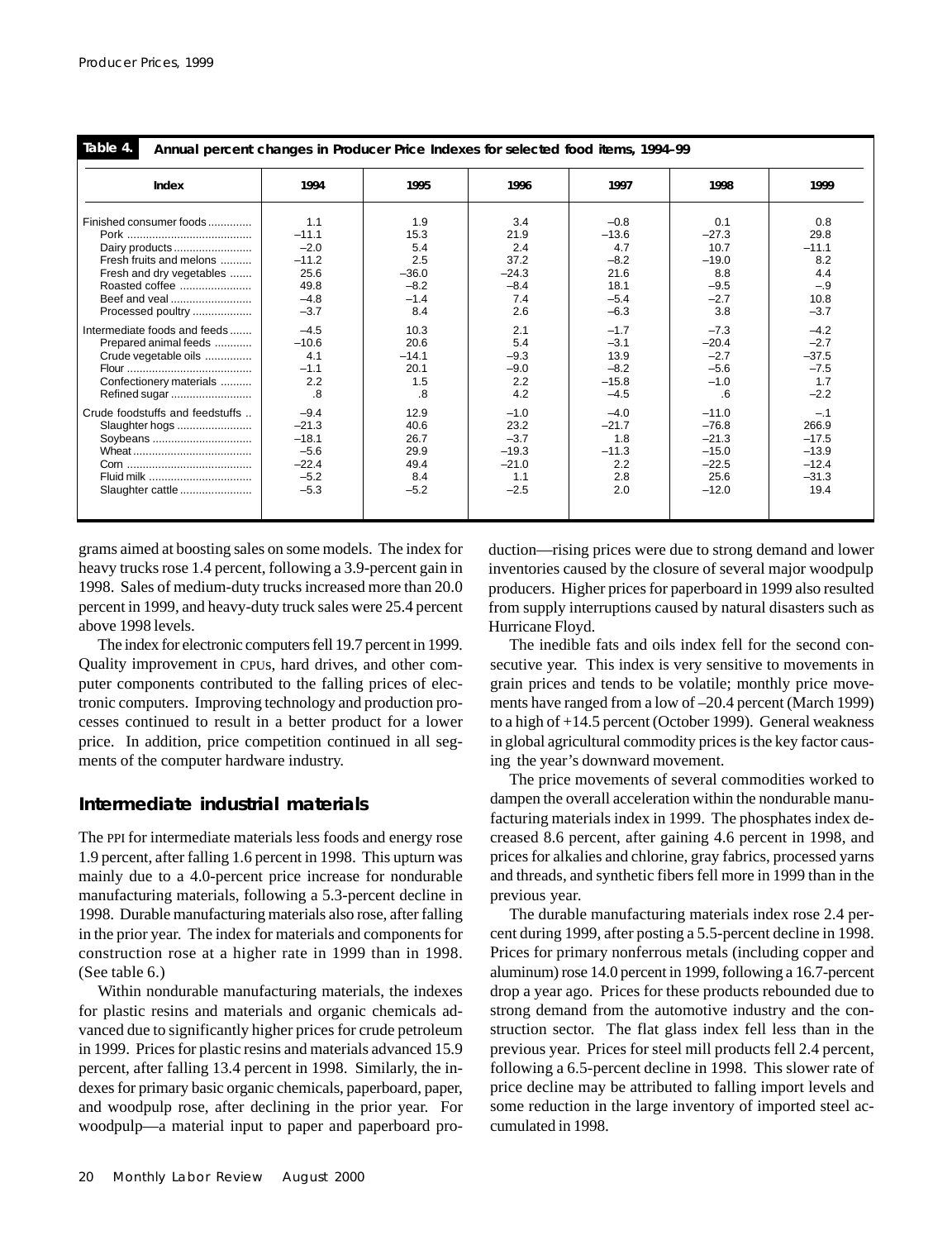| Table 4.<br>Annual percent changes in Producer Price Indexes for selected food items, 1994-99 |         |         |         |         |         |         |  |  |
|-----------------------------------------------------------------------------------------------|---------|---------|---------|---------|---------|---------|--|--|
| Index                                                                                         | 1994    | 1995    | 1996    | 1997    | 1998    | 1999    |  |  |
| Finished consumer foods                                                                       | 1.1     | 1.9     | 3.4     | $-0.8$  | 0.1     | 0.8     |  |  |
|                                                                                               | $-11.1$ | 15.3    | 21.9    | $-13.6$ | $-27.3$ | 29.8    |  |  |
| Dairy products                                                                                | $-2.0$  | 5.4     | 2.4     | 4.7     | 10.7    | $-11.1$ |  |  |
| Fresh fruits and melons                                                                       | $-11.2$ | 2.5     | 37.2    | $-8.2$  | $-19.0$ | 8.2     |  |  |
| Fresh and dry vegetables                                                                      | 25.6    | $-36.0$ | $-24.3$ | 21.6    | 8.8     | 4.4     |  |  |
| Roasted coffee                                                                                | 49.8    | $-8.2$  | $-8.4$  | 18.1    | $-9.5$  | $-.9$   |  |  |
|                                                                                               | $-4.8$  | $-1.4$  | 7.4     | $-5.4$  | $-2.7$  | 10.8    |  |  |
| Processed poultry                                                                             | $-3.7$  | 8.4     | 2.6     | $-6.3$  | 3.8     | $-3.7$  |  |  |
| Intermediate foods and feeds                                                                  | $-4.5$  | 10.3    | 2.1     | $-1.7$  | $-7.3$  | $-4.2$  |  |  |
| Prepared animal feeds                                                                         | $-10.6$ | 20.6    | 5.4     | $-3.1$  | $-20.4$ | $-2.7$  |  |  |
| Crude vegetable oils                                                                          | 4.1     | $-14.1$ | $-9.3$  | 13.9    | $-2.7$  | $-37.5$ |  |  |
|                                                                                               | $-1.1$  | 20.1    | $-9.0$  | $-8.2$  | $-5.6$  | $-7.5$  |  |  |
| Confectionery materials                                                                       | 2.2     | 1.5     | 2.2     | $-15.8$ | $-1.0$  | 1.7     |  |  |
| Refined sugar                                                                                 | .8      | .8      | 4.2     | $-4.5$  | .6      | $-2.2$  |  |  |
| Crude foodstuffs and feedstuffs                                                               | $-9.4$  | 12.9    | $-1.0$  | $-4.0$  | $-11.0$ | $-.1$   |  |  |
| Slaughter hogs                                                                                | $-21.3$ | 40.6    | 23.2    | $-21.7$ | $-76.8$ | 266.9   |  |  |
| Soybeans                                                                                      | $-18.1$ | 26.7    | $-3.7$  | 1.8     | $-21.3$ | $-17.5$ |  |  |
|                                                                                               | $-5.6$  | 29.9    | $-19.3$ | $-11.3$ | $-15.0$ | $-13.9$ |  |  |
|                                                                                               | $-22.4$ | 49.4    | $-21.0$ | 2.2     | $-22.5$ | $-12.4$ |  |  |
| Fluid milk                                                                                    | $-5.2$  | 8.4     | 1.1     | 2.8     | 25.6    | $-31.3$ |  |  |
| Slaughter cattle                                                                              | $-5.3$  | $-5.2$  | $-2.5$  | 2.0     | $-12.0$ | 19.4    |  |  |

grams aimed at boosting sales on some models. The index for heavy trucks rose 1.4 percent, following a 3.9-percent gain in 1998. Sales of medium-duty trucks increased more than 20.0 percent in 1999, and heavy-duty truck sales were 25.4 percent above 1998 levels.

The index for electronic computers fell 19.7 percent in 1999. Quality improvement in CPUs, hard drives, and other computer components contributed to the falling prices of electronic computers. Improving technology and production processes continued to result in a better product for a lower price. In addition, price competition continued in all segments of the computer hardware industry.

# **Intermediate industrial materials**

The PPI for intermediate materials less foods and energy rose 1.9 percent, after falling 1.6 percent in 1998. This upturn was mainly due to a 4.0-percent price increase for nondurable manufacturing materials, following a 5.3-percent decline in 1998. Durable manufacturing materials also rose, after falling in the prior year. The index for materials and components for construction rose at a higher rate in 1999 than in 1998. (See table 6.)

Within nondurable manufacturing materials, the indexes for plastic resins and materials and organic chemicals advanced due to significantly higher prices for crude petroleum in 1999. Prices for plastic resins and materials advanced 15.9 percent, after falling 13.4 percent in 1998. Similarly, the indexes for primary basic organic chemicals, paperboard, paper, and woodpulp rose, after declining in the prior year. For woodpulp—a material input to paper and paperboard production—rising prices were due to strong demand and lower inventories caused by the closure of several major woodpulp producers. Higher prices for paperboard in 1999 also resulted from supply interruptions caused by natural disasters such as Hurricane Floyd.

The inedible fats and oils index fell for the second consecutive year. This index is very sensitive to movements in grain prices and tends to be volatile; monthly price movements have ranged from a low of –20.4 percent (March 1999) to a high of +14.5 percent (October 1999). General weakness in global agricultural commodity prices is the key factor causing the year's downward movement.

The price movements of several commodities worked to dampen the overall acceleration within the nondurable manufacturing materials index in 1999. The phosphates index decreased 8.6 percent, after gaining 4.6 percent in 1998, and prices for alkalies and chlorine, gray fabrics, processed yarns and threads, and synthetic fibers fell more in 1999 than in the previous year.

The durable manufacturing materials index rose 2.4 percent during 1999, after posting a 5.5-percent decline in 1998. Prices for primary nonferrous metals (including copper and aluminum) rose 14.0 percent in 1999, following a 16.7-percent drop a year ago. Prices for these products rebounded due to strong demand from the automotive industry and the construction sector. The flat glass index fell less than in the previous year. Prices for steel mill products fell 2.4 percent, following a 6.5-percent decline in 1998. This slower rate of price decline may be attributed to falling import levels and some reduction in the large inventory of imported steel accumulated in 1998.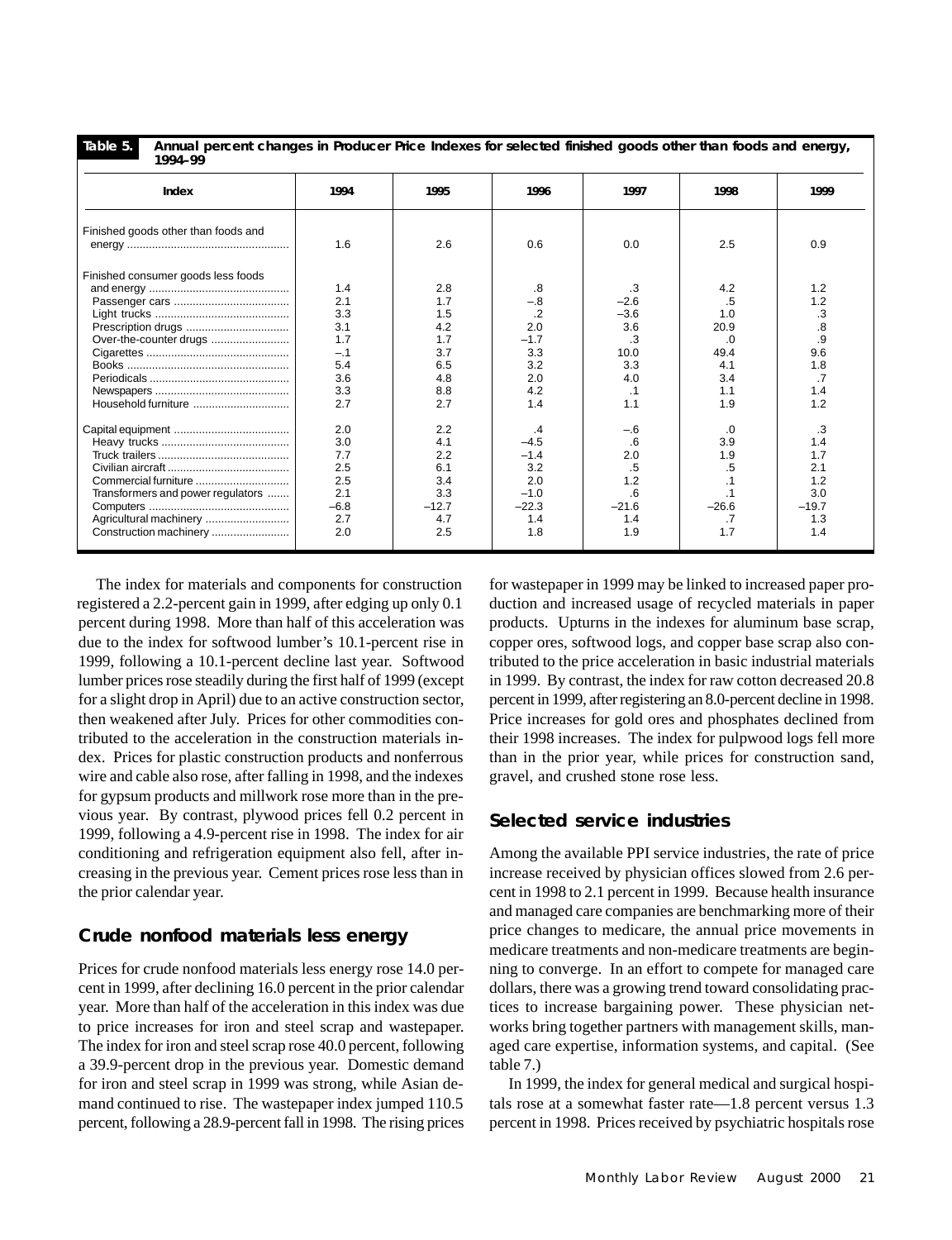**Table 5.**

**Annual percent changes in Producer Price Indexes for selected finished goods other than foods and energy, 1994–99**

| 1774-77                             |        |         |         |           |           |                         |
|-------------------------------------|--------|---------|---------|-----------|-----------|-------------------------|
| Index                               | 1994   | 1995    | 1996    | 1997      | 1998      | 1999                    |
| Finished goods other than foods and |        |         |         |           |           |                         |
|                                     | 1.6    | 2.6     | 0.6     | 0.0       | 2.5       | 0.9                     |
| Finished consumer goods less foods  |        |         |         |           |           |                         |
|                                     | 1.4    | 2.8     | .8      | .3        | 4.2       | 1.2                     |
|                                     | 2.1    | 1.7     | $-.8$   | $-2.6$    | .5        | 1.2                     |
|                                     | 3.3    | 1.5     | $\cdot$ | $-3.6$    | 1.0       | $\cdot$ 3               |
| Prescription drugs                  | 3.1    | 4.2     | 2.0     | 3.6       | 20.9      | $\overline{\mathbf{8}}$ |
| Over-the-counter drugs              | 1.7    | 1.7     | $-1.7$  | .3        | .0        | .9                      |
|                                     | $-.1$  | 3.7     | 3.3     | 10.0      | 49.4      | 9.6                     |
|                                     | 5.4    | 6.5     | 3.2     | 3.3       | 4.1       | 1.8                     |
|                                     | 3.6    | 4.8     | 2.0     | 4.0       | 3.4       | $\overline{.7}$         |
|                                     | 3.3    | 8.8     | 4.2     | $\cdot$ 1 | 1.1       | 1.4                     |
| Household furniture                 | 2.7    | 2.7     | 1.4     | 1.1       | 1.9       | 1.2                     |
|                                     | 2.0    | 2.2     | $\cdot$ | $-.6$     | .0        | .3                      |
|                                     | 3.0    | 4.1     | $-4.5$  | .6        | 3.9       | 1.4                     |
|                                     | 7.7    | 2.2     | $-1.4$  | 2.0       | 1.9       | 1.7                     |
|                                     | 2.5    | 6.1     | 3.2     | .5        | .5        | 2.1                     |
| Commercial furniture                | 2.5    | 3.4     | 2.0     | 1.2       |           | 1.2                     |
| Transformers and power regulators   | 2.1    | 3.3     | $-1.0$  | .6        | $\cdot$ 1 | 3.0                     |
|                                     | $-6.8$ | $-12.7$ | $-22.3$ | $-21.6$   | $-26.6$   | $-19.7$                 |
| Agricultural machinery              | 2.7    | 4.7     | 1.4     | 1.4       | .7        | 1.3                     |
| Construction machinery              | 2.0    | 2.5     | 1.8     | 1.9       | 1.7       | 1.4                     |

percent during 1998. More than half of this acceleration was due to the index for softwood lumber's 10.1-percent rise in 1999, following a 10.1-percent decline last year. Softwood lumber prices rose steadily during the first half of 1999 (except for a slight drop in April) due to an active construction sector, then weakened after July. Prices for other commodities contributed to the acceleration in the construction materials index. Prices for plastic construction products and nonferrous wire and cable also rose, after falling in 1998, and the indexes for gypsum products and millwork rose more than in the previous year. By contrast, plywood prices fell 0.2 percent in 1999, following a 4.9-percent rise in 1998. The index for air conditioning and refrigeration equipment also fell, after increasing in the previous year. Cement prices rose less than in the prior calendar year. The index for materials and components for construction registered a 2.2-percent gain in 1999, after edging up only 0.1

# **Crude nonfood materials less energy**

Prices for crude nonfood materials less energy rose 14.0 percent in 1999, after declining 16.0 percent in the prior calendar year. More than half of the acceleration in this index was due to price increases for iron and steel scrap and wastepaper. The index for iron and steel scrap rose 40.0 percent, following a 39.9-percent drop in the previous year. Domestic demand for iron and steel scrap in 1999 was strong, while Asian demand continued to rise. The wastepaper index jumped 110.5 percent, following a 28.9-percent fall in 1998. The rising prices for wastepaper in 1999 may be linked to increased paper production and increased usage of recycled materials in paper products. Upturns in the indexes for aluminum base scrap, copper ores, softwood logs, and copper base scrap also contributed to the price acceleration in basic industrial materials in 1999. By contrast, the index for raw cotton decreased 20.8 percent in 1999, after registering an 8.0-percent decline in 1998. Price increases for gold ores and phosphates declined from their 1998 increases. The index for pulpwood logs fell more than in the prior year, while prices for construction sand, gravel, and crushed stone rose less.

# **Selected service industries**

Among the available PPI service industries, the rate of price increase received by physician offices slowed from 2.6 percent in 1998 to 2.1 percent in 1999. Because health insurance and managed care companies are benchmarking more of their price changes to medicare, the annual price movements in medicare treatments and non-medicare treatments are beginning to converge. In an effort to compete for managed care dollars, there was a growing trend toward consolidating practices to increase bargaining power. These physician networks bring together partners with management skills, managed care expertise, information systems, and capital. (See table 7.)

In 1999, the index for general medical and surgical hospitals rose at a somewhat faster rate—1.8 percent versus 1.3 percent in 1998. Prices received by psychiatric hospitals rose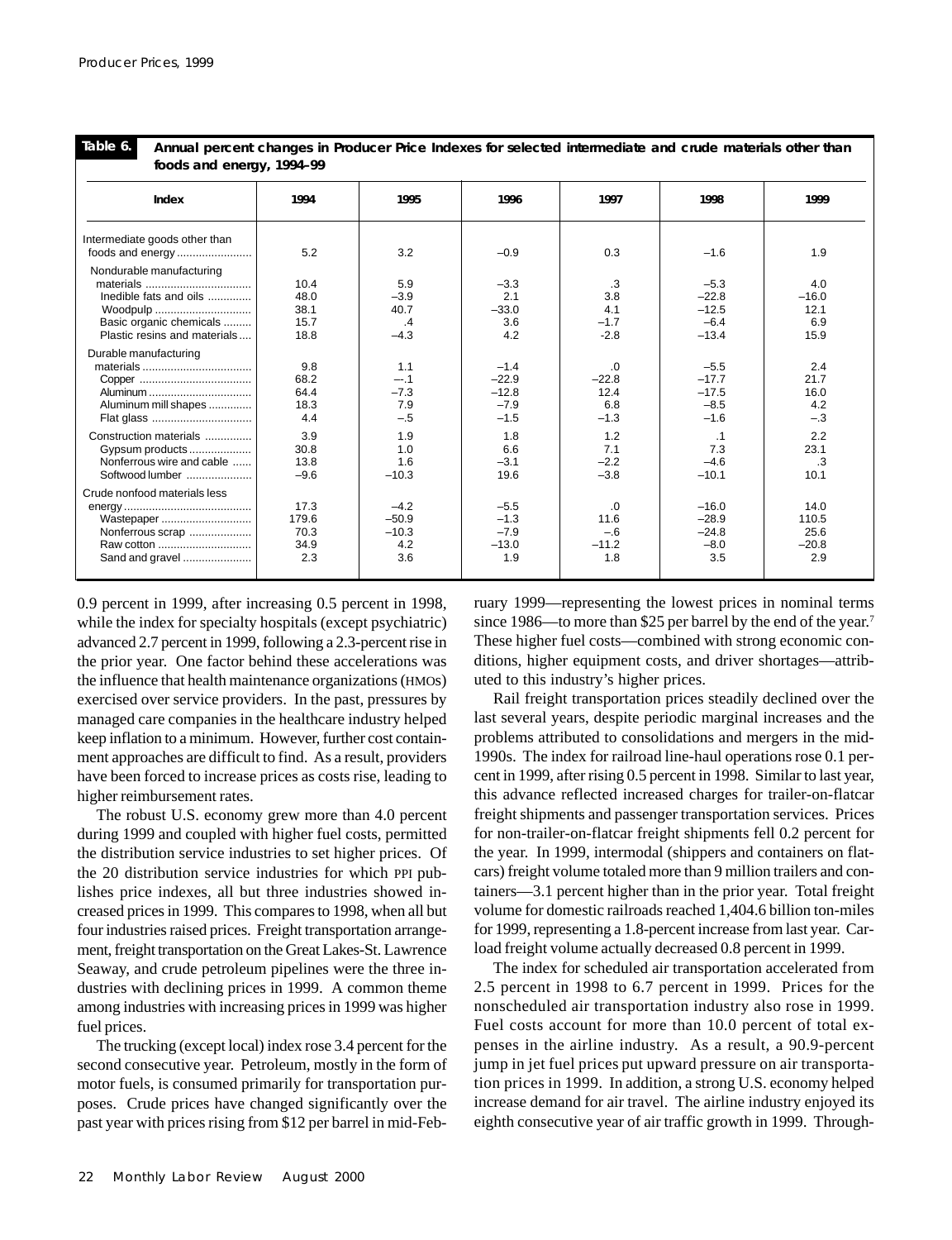**Table 6.**

| Table 6.<br>Annual percent changes in Producer Price Indexes for selected intermediate and crude materials other than     |                                      |                                            |                                                  |                                        |                                                   |                                         |  |  |  |  |
|---------------------------------------------------------------------------------------------------------------------------|--------------------------------------|--------------------------------------------|--------------------------------------------------|----------------------------------------|---------------------------------------------------|-----------------------------------------|--|--|--|--|
|                                                                                                                           | foods and energy, 1994-99            |                                            |                                                  |                                        |                                                   |                                         |  |  |  |  |
| Index                                                                                                                     | 1994                                 | 1995                                       | 1996                                             | 1997                                   | 1998                                              | 1999                                    |  |  |  |  |
| Intermediate goods other than                                                                                             | 5.2                                  | 3.2                                        | $-0.9$                                           | 0.3                                    | $-1.6$                                            | 1.9                                     |  |  |  |  |
| Nondurable manufacturing<br>Inedible fats and oils<br>Woodpulp<br>Basic organic chemicals<br>Plastic resins and materials | 10.4<br>48.0<br>38.1<br>15.7<br>18.8 | 5.9<br>$-3.9$<br>40.7<br>.4<br>$-4.3$      | $-3.3$<br>2.1<br>$-33.0$<br>3.6<br>4.2           | .3<br>3.8<br>4.1<br>$-1.7$<br>$-2.8$   | $-5.3$<br>$-22.8$<br>$-12.5$<br>$-6.4$<br>$-13.4$ | 4.0<br>$-16.0$<br>12.1<br>6.9<br>15.9   |  |  |  |  |
| Durable manufacturing<br>Aluminum<br>Aluminum mill shapes<br>Flat glass                                                   | 9.8<br>68.2<br>64.4<br>18.3<br>4.4   | 1.1<br>$-.1$<br>$-7.3$<br>7.9<br>$-.5$     | $-1.4$<br>$-22.9$<br>$-12.8$<br>$-7.9$<br>$-1.5$ | .0<br>$-22.8$<br>12.4<br>6.8<br>$-1.3$ | $-5.5$<br>$-17.7$<br>$-17.5$<br>$-8.5$<br>$-1.6$  | 2.4<br>21.7<br>16.0<br>4.2<br>$-.3$     |  |  |  |  |
| Construction materials<br>Gypsum products<br>Nonferrous wire and cable<br>Softwood lumber                                 | 3.9<br>30.8<br>13.8<br>$-9.6$        | 1.9<br>1.0<br>1.6<br>$-10.3$               | 1.8<br>6.6<br>$-3.1$<br>19.6                     | 1.2<br>7.1<br>$-2.2$<br>$-3.8$         | $\cdot$ 1<br>7.3<br>$-4.6$<br>$-10.1$             | 2.2<br>23.1<br>.3<br>10.1               |  |  |  |  |
| Crude nonfood materials less<br>Wastepaper<br>Nonferrous scrap<br>Raw cotton<br>Sand and gravel                           | 17.3<br>179.6<br>70.3<br>34.9<br>2.3 | $-4.2$<br>$-50.9$<br>$-10.3$<br>4.2<br>3.6 | $-5.5$<br>$-1.3$<br>$-7.9$<br>$-13.0$<br>1.9     | .0<br>11.6<br>$-.6$<br>$-11.2$<br>1.8  | $-16.0$<br>$-28.9$<br>$-24.8$<br>$-8.0$<br>3.5    | 14.0<br>110.5<br>25.6<br>$-20.8$<br>2.9 |  |  |  |  |

0.9 percent in 1999, after increasing 0.5 percent in 1998, while the index for specialty hospitals (except psychiatric) advanced 2.7 percent in 1999, following a 2.3-percent rise in the prior year. One factor behind these accelerations was the influence that health maintenance organizations (HMOs) exercised over service providers. In the past, pressures by managed care companies in the healthcare industry helped keep inflation to a minimum. However, further cost containment approaches are difficult to find. As a result, providers have been forced to increase prices as costs rise, leading to higher reimbursement rates.

The robust U.S. economy grew more than 4.0 percent during 1999 and coupled with higher fuel costs, permitted the distribution service industries to set higher prices. Of the 20 distribution service industries for which PPI publishes price indexes, all but three industries showed increased prices in 1999. This compares to 1998, when all but four industries raised prices. Freight transportation arrangement, freight transportation on the Great Lakes-St. Lawrence Seaway, and crude petroleum pipelines were the three industries with declining prices in 1999. A common theme among industries with increasing prices in 1999 was higher fuel prices.

The trucking (except local) index rose 3.4 percent for the second consecutive year. Petroleum, mostly in the form of motor fuels, is consumed primarily for transportation purposes. Crude prices have changed significantly over the past year with prices rising from \$12 per barrel in mid-Feb-

ruary 1999—representing the lowest prices in nominal terms since 1986—to more than \$25 per barrel by the end of the year.<sup>7</sup> These higher fuel costs—combined with strong economic conditions, higher equipment costs, and driver shortages—attributed to this industry's higher prices.

Rail freight transportation prices steadily declined over the last several years, despite periodic marginal increases and the problems attributed to consolidations and mergers in the mid-1990s. The index for railroad line-haul operations rose 0.1 percent in 1999, after rising 0.5 percent in 1998. Similar to last year, this advance reflected increased charges for trailer-on-flatcar freight shipments and passenger transportation services. Prices for non-trailer-on-flatcar freight shipments fell 0.2 percent for the year. In 1999, intermodal (shippers and containers on flatcars) freight volume totaled more than 9 million trailers and containers—3.1 percent higher than in the prior year. Total freight volume for domestic railroads reached 1,404.6 billion ton-miles for 1999, representing a 1.8-percent increase from last year. Carload freight volume actually decreased 0.8 percent in 1999.

The index for scheduled air transportation accelerated from 2.5 percent in 1998 to 6.7 percent in 1999. Prices for the nonscheduled air transportation industry also rose in 1999. Fuel costs account for more than 10.0 percent of total expenses in the airline industry. As a result, a 90.9-percent jump in jet fuel prices put upward pressure on air transportation prices in 1999. In addition, a strong U.S. economy helped increase demand for air travel. The airline industry enjoyed its eighth consecutive year of air traffic growth in 1999. Through-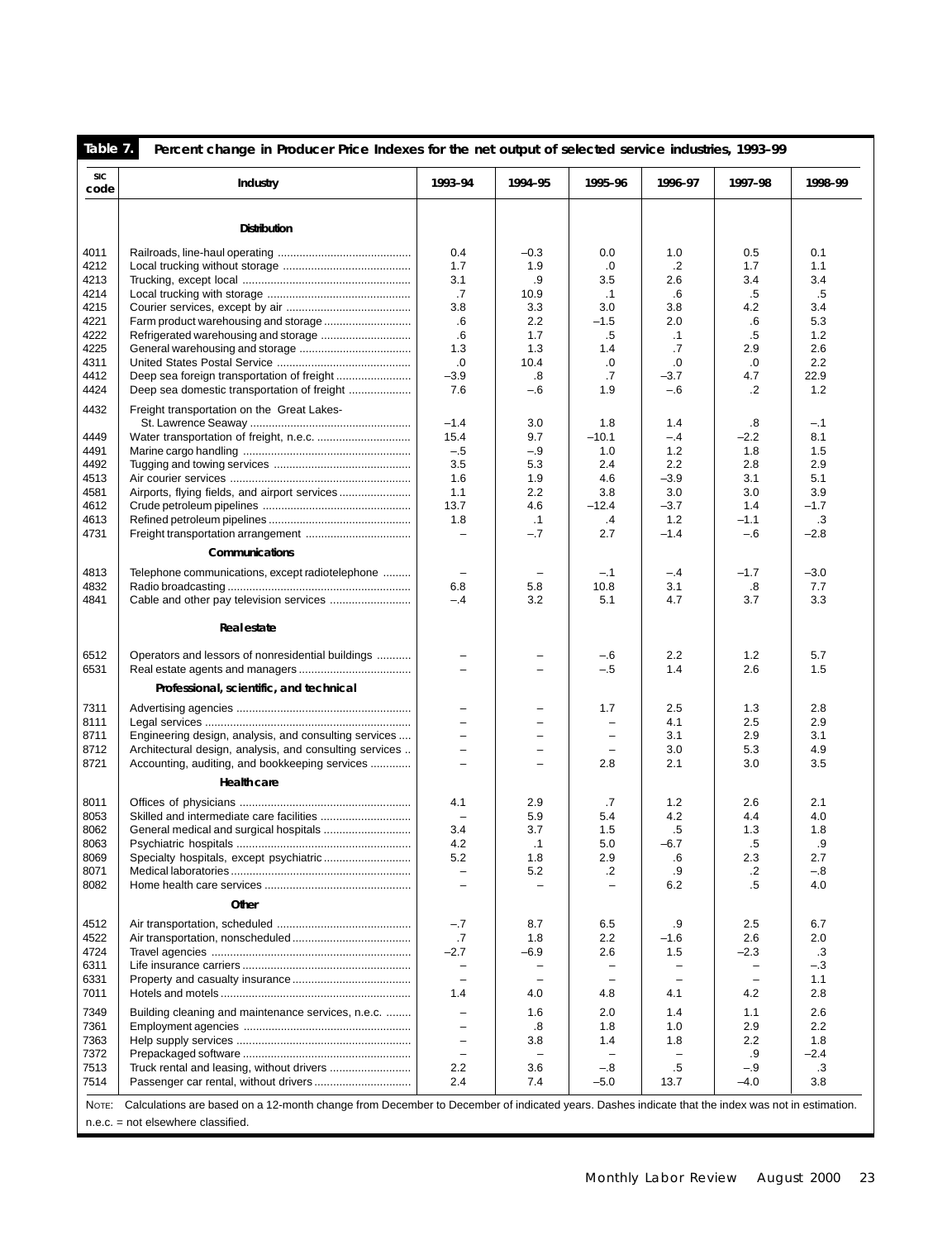| Table 7.           | Percent change in Producer Price Indexes for the net output of selected service industries, 1993-99                                             |                                                      |                          |                          |                          |                          |              |
|--------------------|-------------------------------------------------------------------------------------------------------------------------------------------------|------------------------------------------------------|--------------------------|--------------------------|--------------------------|--------------------------|--------------|
| <b>SIC</b><br>code | Industry                                                                                                                                        | 1993-94                                              | 1994-95                  | 1995-96                  | 1996-97                  | 1997-98                  | 1998-99      |
|                    | <b>Distribution</b>                                                                                                                             |                                                      |                          |                          |                          |                          |              |
|                    |                                                                                                                                                 |                                                      |                          |                          |                          |                          |              |
| 4011<br>4212       |                                                                                                                                                 | 0.4<br>1.7                                           | $-0.3$<br>1.9            | 0.0<br>.0                | 1.0<br>$\cdot$           | 0.5<br>1.7               | 0.1<br>1.1   |
| 4213               |                                                                                                                                                 | 3.1                                                  | .9                       | 3.5                      | 2.6                      | 3.4                      | 3.4          |
| 4214               |                                                                                                                                                 | .7                                                   | 10.9                     | $\cdot$ 1                | .6                       | .5                       | .5           |
| 4215               |                                                                                                                                                 | 3.8                                                  | 3.3                      | 3.0                      | 3.8                      | 4.2                      | 3.4          |
| 4221               |                                                                                                                                                 | .6                                                   | 2.2                      | $-1.5$                   | 2.0                      | $.6\,$                   | 5.3          |
| 4222               |                                                                                                                                                 | .6                                                   | 1.7                      | .5                       | $\cdot$ 1                | .5                       | 1.2          |
| 4225               |                                                                                                                                                 | 1.3                                                  | 1.3                      | 1.4                      | .7                       | 2.9                      | 2.6          |
| 4311               |                                                                                                                                                 | .0                                                   | 10.4                     | .0                       | .0                       | .0                       | 2.2          |
| 4412               |                                                                                                                                                 | $-3.9$                                               | .8                       | .7                       | $-3.7$                   | 4.7                      | 22.9         |
| 4424               | Deep sea domestic transportation of freight                                                                                                     | 7.6                                                  | $-6$                     | 1.9                      | $-6$                     | $\cdot$                  | 1.2          |
| 4432               | Freight transportation on the Great Lakes-                                                                                                      |                                                      |                          |                          |                          |                          |              |
| 4449               |                                                                                                                                                 | $-1.4$<br>15.4                                       | 3.0<br>9.7               | 1.8<br>$-10.1$           | 1.4<br>$-.4$             | .8<br>$-2.2$             | $-.1$<br>8.1 |
| 4491               |                                                                                                                                                 | $-.5$                                                | $-.9$                    | 1.0                      | 1.2                      | 1.8                      | 1.5          |
| 4492               |                                                                                                                                                 | 3.5                                                  | 5.3                      | 2.4                      | 2.2                      | 2.8                      | 2.9          |
| 4513               |                                                                                                                                                 | 1.6                                                  | 1.9                      | 4.6                      | $-3.9$                   | 3.1                      | 5.1          |
| 4581               |                                                                                                                                                 | 1.1                                                  | 2.2                      | 3.8                      | 3.0                      | 3.0                      | 3.9          |
| 4612               |                                                                                                                                                 | 13.7                                                 | 4.6                      | $-12.4$                  | $-3.7$                   | 1.4                      | $-1.7$       |
| 4613               |                                                                                                                                                 | 1.8                                                  | $\cdot$ 1                | .4                       | 1.2                      | $-1.1$                   | .3           |
| 4731               |                                                                                                                                                 | $\qquad \qquad -$                                    | $-.7$                    | 2.7                      | $-1.4$                   | $-6$                     | $-2.8$       |
|                    | Communications                                                                                                                                  |                                                      |                          |                          |                          |                          |              |
| 4813               | Telephone communications, except radiotelephone                                                                                                 | $\overline{\phantom{m}}$                             | $\overline{\phantom{0}}$ | $-.1$                    | $-4$                     | $-1.7$                   | $-3.0$       |
| 4832               |                                                                                                                                                 | 6.8                                                  | 5.8                      | 10.8                     | 3.1                      | .8                       | 7.7          |
| 4841               |                                                                                                                                                 | $-.4$                                                | 3.2                      | 5.1                      | 4.7                      | 3.7                      | 3.3          |
|                    |                                                                                                                                                 |                                                      |                          |                          |                          |                          |              |
|                    | Real estate                                                                                                                                     |                                                      |                          |                          |                          |                          |              |
| 6512<br>6531       | Operators and lessors of nonresidential buildings                                                                                               | $\overline{\phantom{0}}$<br>$\overline{\phantom{0}}$ | -<br>L.                  | $-6$<br>$-.5$            | 2.2<br>1.4               | 1.2<br>2.6               | 5.7<br>1.5   |
|                    | Professional, scientific, and technical                                                                                                         |                                                      |                          |                          |                          |                          |              |
| 7311               |                                                                                                                                                 |                                                      | -                        | 1.7                      | 2.5                      | 1.3                      | 2.8          |
| 8111               |                                                                                                                                                 | $\qquad \qquad -$                                    | -                        | $\overline{\phantom{0}}$ | 4.1                      | 2.5                      | 2.9          |
| 8711               | Engineering design, analysis, and consulting services                                                                                           | $\overline{\phantom{0}}$                             | ÷,                       | $\overline{\phantom{0}}$ | 3.1                      | 2.9                      | 3.1          |
| 8712               | Architectural design, analysis, and consulting services                                                                                         | $\overline{\phantom{0}}$                             | $\overline{\phantom{0}}$ | $\overline{\phantom{0}}$ | 3.0                      | 5.3                      | 4.9          |
| 8721               | Accounting, auditing, and bookkeeping services                                                                                                  | $\equiv$                                             | $\equiv$                 | 2.8                      | 2.1                      | 3.0                      | 3.5          |
|                    | Health care                                                                                                                                     |                                                      |                          |                          |                          |                          |              |
| 8011               |                                                                                                                                                 | 4.1                                                  | 2.9                      | .7                       | 1.2                      | 2.6                      | 2.1          |
| 8053               |                                                                                                                                                 | $\overline{\phantom{0}}$                             | 5.9                      | 5.4                      | 4.2                      | 4.4                      | 4.0          |
| 8062               |                                                                                                                                                 | 3.4                                                  | 3.7                      | 1.5                      | .5                       | 1.3                      | 1.8          |
| 8063               |                                                                                                                                                 | 4.2                                                  | $\cdot$ 1                | 5.0                      | $-6.7$                   | $.5\,$                   | .9           |
| 8069<br>8071       |                                                                                                                                                 | 5.2<br>$\overline{\phantom{m}}$                      | 1.8<br>5.2               | 2.9<br>.2                | .6<br>.9                 | 2.3<br>$\cdot$           | 2.7<br>$-8$  |
| 8082               |                                                                                                                                                 |                                                      |                          |                          | 6.2                      | .5                       | 4.0          |
|                    | Other                                                                                                                                           |                                                      |                          |                          |                          |                          |              |
|                    |                                                                                                                                                 |                                                      |                          |                          |                          |                          |              |
| 4512<br>4522       |                                                                                                                                                 | $-.7$<br>.7                                          | 8.7<br>1.8               | 6.5<br>2.2               | .9<br>$-1.6$             | 2.5<br>2.6               | 6.7<br>2.0   |
| 4724               |                                                                                                                                                 | $-2.7$                                               | $-6.9$                   | 2.6                      | 1.5                      | $-2.3$                   | .3           |
| 6311               |                                                                                                                                                 | $\qquad \qquad -$                                    |                          | -                        | $\overline{\phantom{0}}$ |                          | $-.3$        |
| 6331               |                                                                                                                                                 | $\equiv$                                             | $\equiv$                 | $\equiv$                 | $\equiv$                 | $\overline{\phantom{0}}$ | 1.1          |
| 7011               |                                                                                                                                                 | 1.4                                                  | 4.0                      | 4.8                      | 4.1                      | 4.2                      | 2.8          |
| 7349               | Building cleaning and maintenance services, n.e.c.                                                                                              | $\overline{\phantom{0}}$                             | 1.6                      | 2.0                      | 1.4                      | 1.1                      | 2.6          |
| 7361               |                                                                                                                                                 | $\overline{\phantom{0}}$                             | .8                       | 1.8                      | 1.0                      | 2.9                      | 2.2          |
| 7363               |                                                                                                                                                 | $\overline{\phantom{0}}$                             | 3.8                      | 1.4                      | 1.8                      | 2.2                      | 1.8          |
| 7372               |                                                                                                                                                 | $\overline{\phantom{m}}$                             | $\equiv$                 | $\equiv$                 | $\overline{\phantom{0}}$ | .9                       | $-2.4$       |
| 7513               |                                                                                                                                                 | 2.2                                                  | 3.6                      | $-.8$                    | .5                       | $-.9$                    | .3           |
| 7514               |                                                                                                                                                 | 2.4                                                  | 7.4                      | $-5.0$                   | 13.7                     | $-4.0$                   | 3.8          |
| Note:              | Calculations are based on a 12-month change from December to December of indicated years. Dashes indicate that the index was not in estimation. |                                                      |                          |                          |                          |                          |              |
|                    | $n.e.c. = not elsewhere classified.$                                                                                                            |                                                      |                          |                          |                          |                          |              |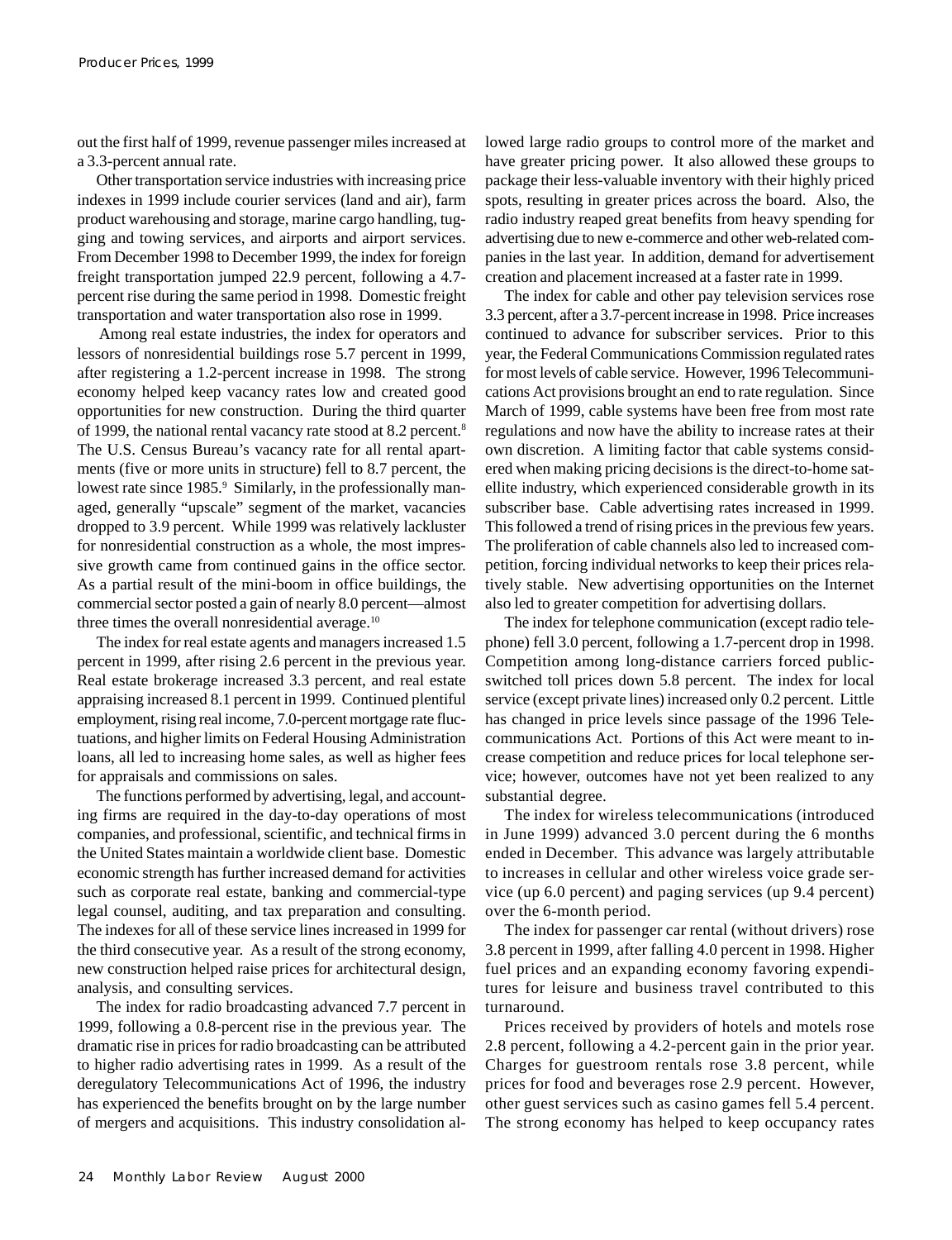out the first half of 1999, revenue passenger miles increased at a 3.3-percent annual rate.

Other transportation service industries with increasing price indexes in 1999 include courier services (land and air), farm product warehousing and storage, marine cargo handling, tugging and towing services, and airports and airport services. From December 1998 to December 1999, the index for foreign freight transportation jumped 22.9 percent, following a 4.7 percent rise during the same period in 1998. Domestic freight transportation and water transportation also rose in 1999.

 Among real estate industries, the index for operators and lessors of nonresidential buildings rose 5.7 percent in 1999, after registering a 1.2-percent increase in 1998. The strong economy helped keep vacancy rates low and created good opportunities for new construction. During the third quarter of 1999, the national rental vacancy rate stood at 8.2 percent.<sup>8</sup> The U.S. Census Bureau's vacancy rate for all rental apartments (five or more units in structure) fell to 8.7 percent, the lowest rate since 1985.<sup>9</sup> Similarly, in the professionally managed, generally "upscale" segment of the market, vacancies dropped to 3.9 percent. While 1999 was relatively lackluster for nonresidential construction as a whole, the most impressive growth came from continued gains in the office sector. As a partial result of the mini-boom in office buildings, the commercial sector posted a gain of nearly 8.0 percent—almost three times the overall nonresidential average. $10$ 

The index for real estate agents and managers increased 1.5 percent in 1999, after rising 2.6 percent in the previous year. Real estate brokerage increased 3.3 percent, and real estate appraising increased 8.1 percent in 1999. Continued plentiful employment, rising real income, 7.0-percent mortgage rate fluctuations, and higher limits on Federal Housing Administration loans, all led to increasing home sales, as well as higher fees for appraisals and commissions on sales.

The functions performed by advertising, legal, and accounting firms are required in the day-to-day operations of most companies, and professional, scientific, and technical firms in the United States maintain a worldwide client base. Domestic economic strength has further increased demand for activities such as corporate real estate, banking and commercial-type legal counsel, auditing, and tax preparation and consulting. The indexes for all of these service lines increased in 1999 for the third consecutive year. As a result of the strong economy, new construction helped raise prices for architectural design, analysis, and consulting services.

The index for radio broadcasting advanced 7.7 percent in 1999, following a 0.8-percent rise in the previous year. The dramatic rise in prices for radio broadcasting can be attributed to higher radio advertising rates in 1999. As a result of the deregulatory Telecommunications Act of 1996, the industry has experienced the benefits brought on by the large number of mergers and acquisitions. This industry consolidation allowed large radio groups to control more of the market and have greater pricing power. It also allowed these groups to package their less-valuable inventory with their highly priced spots, resulting in greater prices across the board. Also, the radio industry reaped great benefits from heavy spending for advertising due to new e-commerce and other web-related companies in the last year. In addition, demand for advertisement creation and placement increased at a faster rate in 1999.

The index for cable and other pay television services rose 3.3 percent, after a 3.7-percent increase in 1998. Price increases continued to advance for subscriber services. Prior to this year, the Federal Communications Commission regulated rates for most levels of cable service. However, 1996 Telecommunications Act provisions brought an end to rate regulation. Since March of 1999, cable systems have been free from most rate regulations and now have the ability to increase rates at their own discretion. A limiting factor that cable systems considered when making pricing decisions is the direct-to-home satellite industry, which experienced considerable growth in its subscriber base. Cable advertising rates increased in 1999. This followed a trend of rising prices in the previous few years. The proliferation of cable channels also led to increased competition, forcing individual networks to keep their prices relatively stable. New advertising opportunities on the Internet also led to greater competition for advertising dollars.

The index for telephone communication (except radio telephone) fell 3.0 percent, following a 1.7-percent drop in 1998. Competition among long-distance carriers forced publicswitched toll prices down 5.8 percent. The index for local service (except private lines) increased only 0.2 percent. Little has changed in price levels since passage of the 1996 Telecommunications Act. Portions of this Act were meant to increase competition and reduce prices for local telephone service; however, outcomes have not yet been realized to any substantial degree.

The index for wireless telecommunications (introduced in June 1999) advanced 3.0 percent during the 6 months ended in December. This advance was largely attributable to increases in cellular and other wireless voice grade service (up 6.0 percent) and paging services (up 9.4 percent) over the 6-month period.

The index for passenger car rental (without drivers) rose 3.8 percent in 1999, after falling 4.0 percent in 1998. Higher fuel prices and an expanding economy favoring expenditures for leisure and business travel contributed to this turnaround.

Prices received by providers of hotels and motels rose 2.8 percent, following a 4.2-percent gain in the prior year. Charges for guestroom rentals rose 3.8 percent, while prices for food and beverages rose 2.9 percent. However, other guest services such as casino games fell 5.4 percent. The strong economy has helped to keep occupancy rates